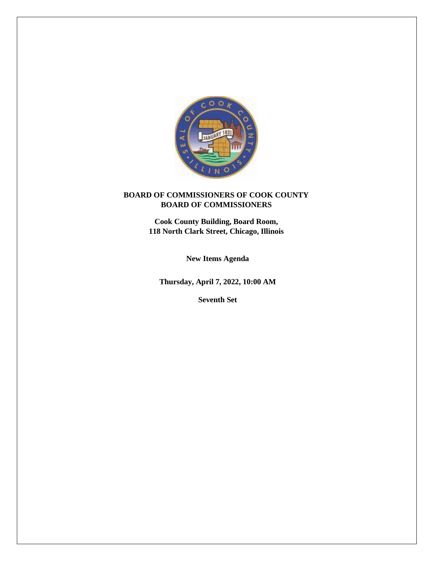

# **BOARD OF COMMISSIONERS OF COOK COUNTY BOARD OF COMMISSIONERS**

**Cook County Building, Board Room, 118 North Clark Street, Chicago, Illinois**

**New Items Agenda**

**Thursday, April 7, 2022, 10:00 AM**

**Seventh Set**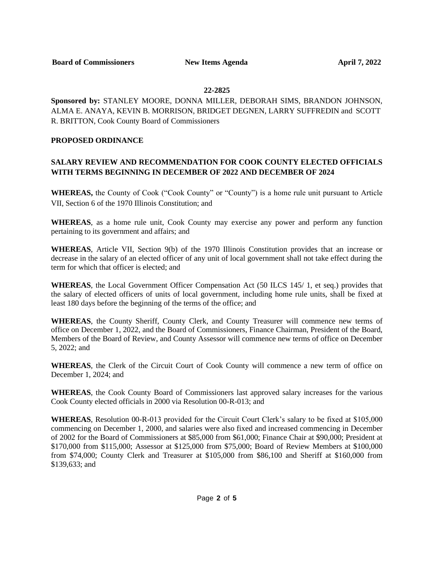## **22-2825**

**Sponsored by:** STANLEY MOORE, DONNA MILLER, DEBORAH SIMS, BRANDON JOHNSON, ALMA E. ANAYA, KEVIN B. MORRISON, BRIDGET DEGNEN, LARRY SUFFREDIN and SCOTT R. BRITTON, Cook County Board of Commissioners

## **PROPOSED ORDINANCE**

# **SALARY REVIEW AND RECOMMENDATION FOR COOK COUNTY ELECTED OFFICIALS WITH TERMS BEGINNING IN DECEMBER OF 2022 AND DECEMBER OF 2024**

**WHEREAS,** the County of Cook ("Cook County" or "County") is a home rule unit pursuant to Article VII, Section 6 of the 1970 Illinois Constitution; and

**WHEREAS**, as a home rule unit, Cook County may exercise any power and perform any function pertaining to its government and affairs; and

**WHEREAS**, Article VII, Section 9(b) of the 1970 Illinois Constitution provides that an increase or decrease in the salary of an elected officer of any unit of local government shall not take effect during the term for which that officer is elected; and

**WHEREAS**, the Local Government Officer Compensation Act (50 ILCS 145/ 1, et seq.) provides that the salary of elected officers of units of local government, including home rule units, shall be fixed at least 180 days before the beginning of the terms of the office; and

**WHEREAS**, the County Sheriff, County Clerk, and County Treasurer will commence new terms of office on December 1, 2022, and the Board of Commissioners, Finance Chairman, President of the Board, Members of the Board of Review, and County Assessor will commence new terms of office on December 5, 2022; and

**WHEREAS**, the Clerk of the Circuit Court of Cook County will commence a new term of office on December 1, 2024; and

**WHEREAS**, the Cook County Board of Commissioners last approved salary increases for the various Cook County elected officials in 2000 via Resolution 00-R-013; and

**WHEREAS**, Resolution 00-R-013 provided for the Circuit Court Clerk's salary to be fixed at \$105,000 commencing on December 1, 2000, and salaries were also fixed and increased commencing in December of 2002 for the Board of Commissioners at \$85,000 from \$61,000; Finance Chair at \$90,000; President at \$170,000 from \$115,000; Assessor at \$125,000 from \$75,000; Board of Review Members at \$100,000 from \$74,000; County Clerk and Treasurer at \$105,000 from \$86,100 and Sheriff at \$160,000 from \$139,633; and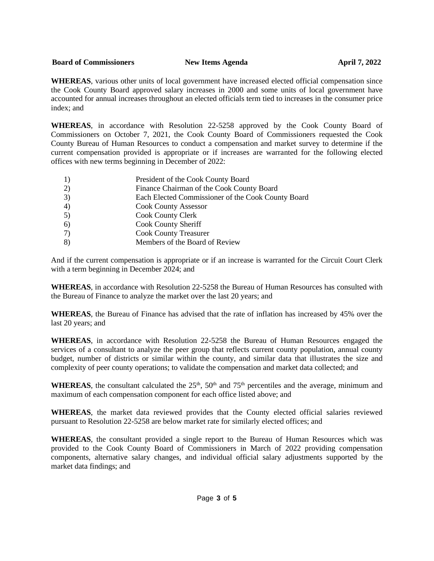### **Board of Commissioners New Items Agenda April 7, 2022**

**WHEREAS**, various other units of local government have increased elected official compensation since the Cook County Board approved salary increases in 2000 and some units of local government have accounted for annual increases throughout an elected officials term tied to increases in the consumer price index; and

**WHEREAS**, in accordance with Resolution 22-5258 approved by the Cook County Board of Commissioners on October 7, 2021, the Cook County Board of Commissioners requested the Cook County Bureau of Human Resources to conduct a compensation and market survey to determine if the current compensation provided is appropriate or if increases are warranted for the following elected offices with new terms beginning in December of 2022:

| 1) | President of the Cook County Board                 |
|----|----------------------------------------------------|
| 2) | Finance Chairman of the Cook County Board          |
| 3) | Each Elected Commissioner of the Cook County Board |
| 4) | <b>Cook County Assessor</b>                        |
| 5) | <b>Cook County Clerk</b>                           |
| 6) | Cook County Sheriff                                |
| 7) | <b>Cook County Treasurer</b>                       |
| 8) | Members of the Board of Review                     |

And if the current compensation is appropriate or if an increase is warranted for the Circuit Court Clerk with a term beginning in December 2024; and

**WHEREAS**, in accordance with Resolution 22-5258 the Bureau of Human Resources has consulted with the Bureau of Finance to analyze the market over the last 20 years; and

**WHEREAS**, the Bureau of Finance has advised that the rate of inflation has increased by 45% over the last 20 years; and

**WHEREAS**, in accordance with Resolution 22-5258 the Bureau of Human Resources engaged the services of a consultant to analyze the peer group that reflects current county population, annual county budget, number of districts or similar within the county, and similar data that illustrates the size and complexity of peer county operations; to validate the compensation and market data collected; and

**WHEREAS**, the consultant calculated the  $25<sup>th</sup>$ ,  $50<sup>th</sup>$  and  $75<sup>th</sup>$  percentiles and the average, minimum and maximum of each compensation component for each office listed above; and

**WHEREAS**, the market data reviewed provides that the County elected official salaries reviewed pursuant to Resolution 22-5258 are below market rate for similarly elected offices; and

**WHEREAS**, the consultant provided a single report to the Bureau of Human Resources which was provided to the Cook County Board of Commissioners in March of 2022 providing compensation components, alternative salary changes, and individual official salary adjustments supported by the market data findings; and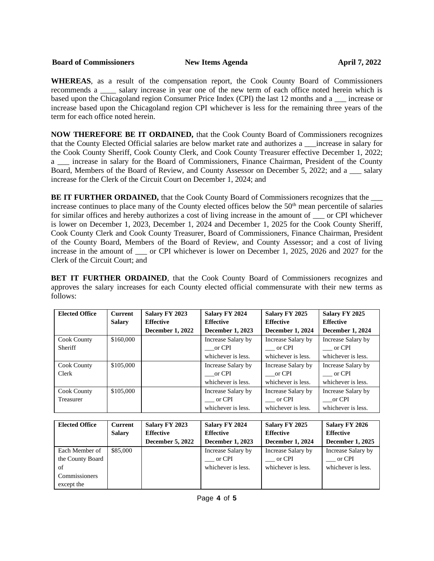### **Board of Commissioners New Items Agenda April 7, 2022**

**WHEREAS**, as a result of the compensation report, the Cook County Board of Commissioners recommends a \_\_\_\_ salary increase in year one of the new term of each office noted herein which is based upon the Chicagoland region Consumer Price Index (CPI) the last 12 months and a \_\_\_ increase or increase based upon the Chicagoland region CPI whichever is less for the remaining three years of the term for each office noted herein.

**NOW THEREFORE BE IT ORDAINED,** that the Cook County Board of Commissioners recognizes that the County Elected Official salaries are below market rate and authorizes a \_\_\_increase in salary for the Cook County Sheriff, Cook County Clerk, and Cook County Treasurer effective December 1, 2022; a increase in salary for the Board of Commissioners, Finance Chairman, President of the County Board, Members of the Board of Review, and County Assessor on December 5, 2022; and a \_\_\_ salary increase for the Clerk of the Circuit Court on December 1, 2024; and

**BE IT FURTHER ORDAINED,** that the Cook County Board of Commissioners recognizes that the increase continues to place many of the County elected offices below the 50<sup>th</sup> mean percentile of salaries for similar offices and hereby authorizes a cost of living increase in the amount of or CPI whichever is lower on December 1, 2023, December 1, 2024 and December 1, 2025 for the Cook County Sheriff, Cook County Clerk and Cook County Treasurer, Board of Commissioners, Finance Chairman, President of the County Board, Members of the Board of Review, and County Assessor; and a cost of living increase in the amount of \_\_\_ or CPI whichever is lower on December 1, 2025, 2026 and 2027 for the Clerk of the Circuit Court; and

**BET IT FURTHER ORDAINED,** that the Cook County Board of Commissioners recognizes and approves the salary increases for each County elected official commensurate with their new terms as follows:

| <b>Elected Office</b> | Current       | Salary FY 2023          | Salary FY 2024          | Salary FY 2025          | Salary FY 2025          |
|-----------------------|---------------|-------------------------|-------------------------|-------------------------|-------------------------|
|                       | <b>Salary</b> | <b>Effective</b>        | <b>Effective</b>        | <b>Effective</b>        | <b>Effective</b>        |
|                       |               | <b>December 1, 2022</b> | <b>December 1, 2023</b> | <b>December 1, 2024</b> | <b>December 1, 2024</b> |
| <b>Cook County</b>    | \$160,000     |                         | Increase Salary by      | Increase Salary by      | Increase Salary by      |
| <b>Sheriff</b>        |               |                         | or CPI                  | $\Gamma$ or CPI         | $\frac{1}{2}$ or CPI    |
|                       |               |                         | whichever is less.      | whichever is less.      | whichever is less.      |
| <b>Cook County</b>    | \$105,000     |                         | Increase Salary by      | Increase Salary by      | Increase Salary by      |
| Clerk                 |               |                         | or CPI                  | or CPI                  | or CPI                  |
|                       |               |                         | whichever is less.      | whichever is less.      | whichever is less.      |
| <b>Cook County</b>    | \$105,000     |                         | Increase Salary by      | Increase Salary by      | Increase Salary by      |
| Treasurer             |               |                         | or CPI                  | or CPI                  | or CPI                  |
|                       |               |                         | whichever is less.      | whichever is less.      | whichever is less.      |

| <b>Elected Office</b> | <b>Current</b> | Salary FY 2023          | Salary FY 2024          | Salary FY 2025          | Salary FY 2026          |
|-----------------------|----------------|-------------------------|-------------------------|-------------------------|-------------------------|
|                       | Salary         | <b>Effective</b>        | <b>Effective</b>        | <b>Effective</b>        | <b>Effective</b>        |
|                       |                | <b>December 5, 2022</b> | <b>December 1, 2023</b> | <b>December 1, 2024</b> | <b>December 1, 2025</b> |
| Each Member of        | \$85,000       |                         | Increase Salary by      | Increase Salary by      | Increase Salary by      |
| the County Board      |                |                         | or CPI                  | or CPI                  | or CPI                  |
| of                    |                |                         | whichever is less.      | whichever is less.      | whichever is less.      |
| Commissioners         |                |                         |                         |                         |                         |
| except the            |                |                         |                         |                         |                         |